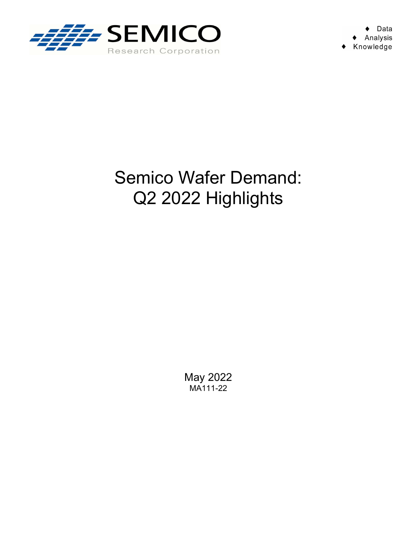

## Semico Wafer Demand: Q2 2022 Highlights

May 2022 MA111-22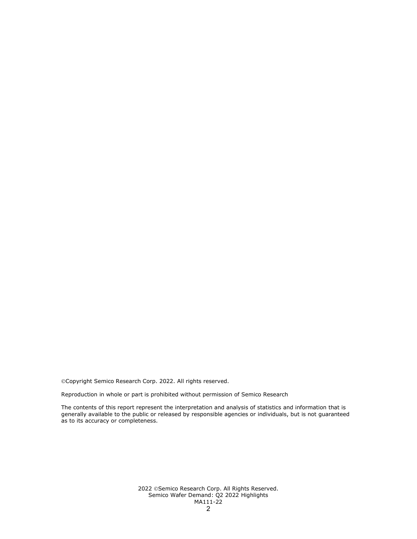Copyright Semico Research Corp. 2022. All rights reserved.

Reproduction in whole or part is prohibited without permission of Semico Research

The contents of this report represent the interpretation and analysis of statistics and information that is generally available to the public or released by responsible agencies or individuals, but is not guaranteed as to its accuracy or completeness.

> 2022 ©Semico Research Corp. All Rights Reserved. Semico Wafer Demand: Q2 2022 Highlights MA111-22